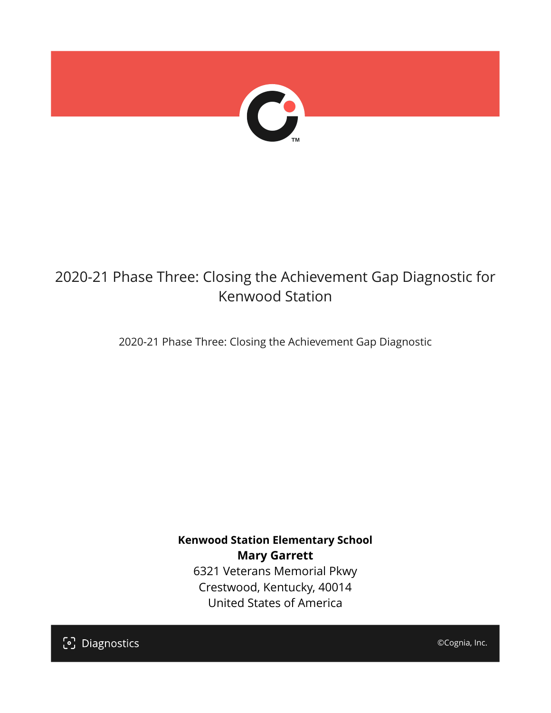

# 2020-21 Phase Three: Closing the Achievement Gap Diagnostic for Kenwood Station

2020-21 Phase Three: Closing the Achievement Gap Diagnostic

**Kenwood Station Elementary School Mary Garrett** 6321 Veterans Memorial Pkwy Crestwood, Kentucky, 40014 United States of America

[၁] Diagnostics

©Cognia, Inc.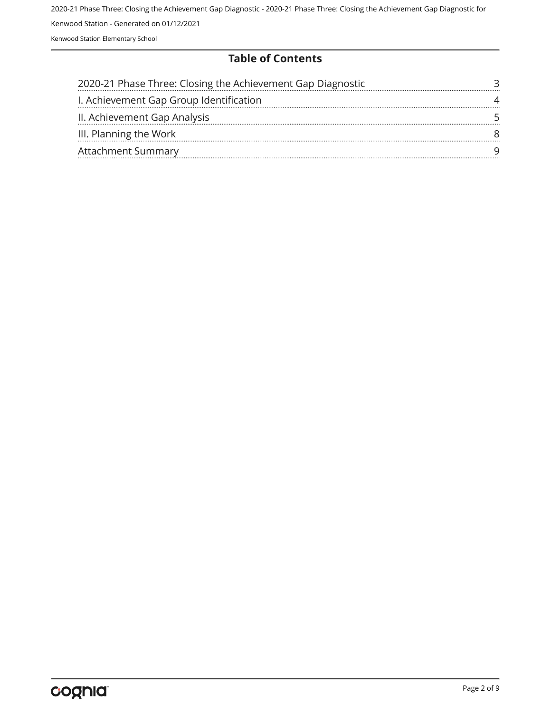#### **Table of Contents**

| 2020-21 Phase Three: Closing the Achievement Gap Diagnostic |  |
|-------------------------------------------------------------|--|
| I. Achievement Gap Group Identification                     |  |
| II. Achievement Gap Analysis                                |  |
| III. Planning the Work                                      |  |
| <b>Attachment Summary</b>                                   |  |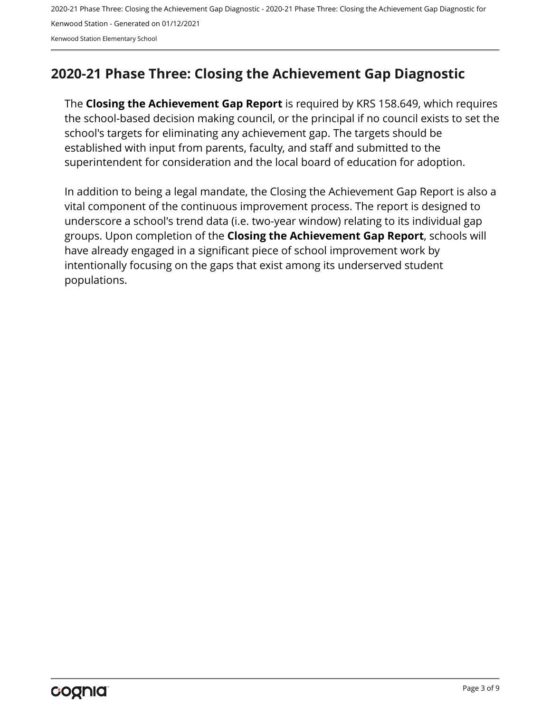#### <span id="page-2-0"></span>**2020-21 Phase Three: Closing the Achievement Gap Diagnostic**

The **Closing the Achievement Gap Report** is required by KRS 158.649, which requires the school-based decision making council, or the principal if no council exists to set the school's targets for eliminating any achievement gap. The targets should be established with input from parents, faculty, and staff and submitted to the superintendent for consideration and the local board of education for adoption.

In addition to being a legal mandate, the Closing the Achievement Gap Report is also a vital component of the continuous improvement process. The report is designed to underscore a school's trend data (i.e. two-year window) relating to its individual gap groups. Upon completion of the **Closing the Achievement Gap Report**, schools will have already engaged in a significant piece of school improvement work by intentionally focusing on the gaps that exist among its underserved student populations.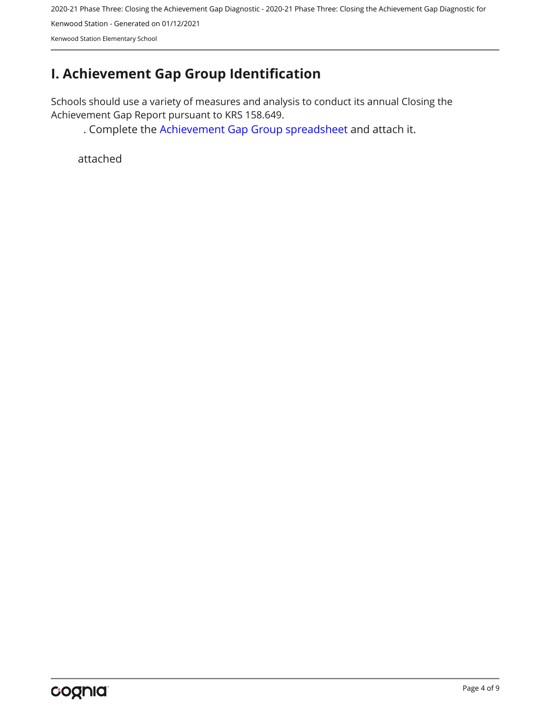2020-21 Phase Three: Closing the Achievement Gap Diagnostic - 2020-21 Phase Three: Closing the Achievement Gap Diagnostic for

Kenwood Station - Generated on 01/12/2021

Kenwood Station Elementary School

# <span id="page-3-0"></span>**I. Achievement Gap Group Identification**

Schools should use a variety of measures and analysis to conduct its annual Closing the Achievement Gap Report pursuant to KRS 158.649.

. Complete the [Achievement Gap Group spreadsheet a](https://drive.google.com/file/d/0B7A6n8V1dmUOWFNKY2dSTTFibjA/view?usp=sharing)nd attach it.

attached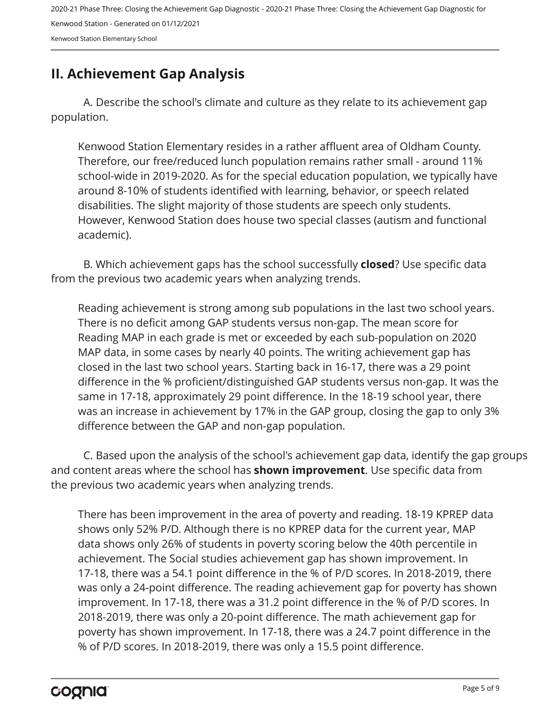## <span id="page-4-0"></span>**II. Achievement Gap Analysis**

A. Describe the school's climate and culture as they relate to its achievement gap population.

Kenwood Station Elementary resides in a rather affluent area of Oldham County. Therefore, our free/reduced lunch population remains rather small - around 11% school-wide in 2019-2020. As for the special education population, we typically have around 8-10% of students identified with learning, behavior, or speech related disabilities. The slight majority of those students are speech only students. However, Kenwood Station does house two special classes (autism and functional academic).

B. Which achievement gaps has the school successfully **closed**? Use specific data from the previous two academic years when analyzing trends.

Reading achievement is strong among sub populations in the last two school years. There is no deficit among GAP students versus non-gap. The mean score for Reading MAP in each grade is met or exceeded by each sub-population on 2020 MAP data, in some cases by nearly 40 points. The writing achievement gap has closed in the last two school years. Starting back in 16-17, there was a 29 point difference in the % proficient/distinguished GAP students versus non-gap. It was the same in 17-18, approximately 29 point difference. In the 18-19 school year, there was an increase in achievement by 17% in the GAP group, closing the gap to only 3% difference between the GAP and non-gap population.

C. Based upon the analysis of the school's achievement gap data, identify the gap groups and content areas where the school has **shown improvement**. Use specific data from the previous two academic years when analyzing trends.

There has been improvement in the area of poverty and reading. 18-19 KPREP data shows only 52% P/D. Although there is no KPREP data for the current year, MAP data shows only 26% of students in poverty scoring below the 40th percentile in achievement. The Social studies achievement gap has shown improvement. In 17-18, there was a 54.1 point difference in the % of P/D scores. In 2018-2019, there was only a 24-point difference. The reading achievement gap for poverty has shown improvement. In 17-18, there was a 31.2 point difference in the % of P/D scores. In 2018-2019, there was only a 20-point difference. The math achievement gap for poverty has shown improvement. In 17-18, there was a 24.7 point difference in the % of P/D scores. In 2018-2019, there was only a 15.5 point difference.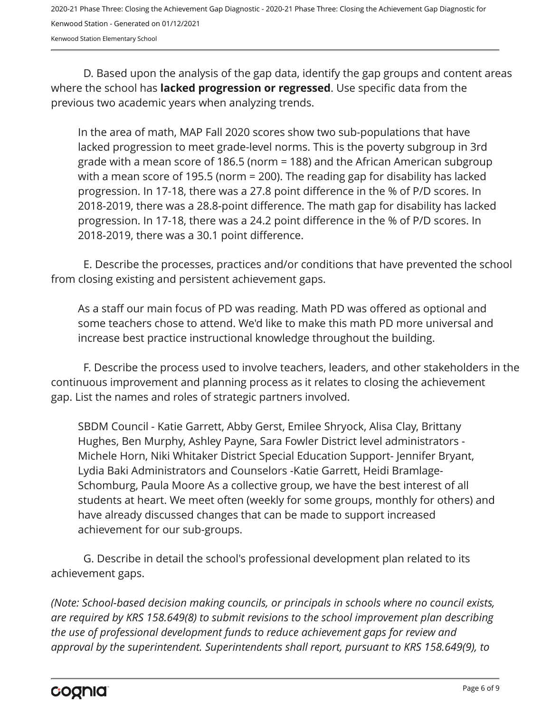D. Based upon the analysis of the gap data, identify the gap groups and content areas where the school has **lacked progression or regressed**. Use specific data from the previous two academic years when analyzing trends.

In the area of math, MAP Fall 2020 scores show two sub-populations that have lacked progression to meet grade-level norms. This is the poverty subgroup in 3rd grade with a mean score of 186.5 (norm = 188) and the African American subgroup with a mean score of 195.5 (norm = 200). The reading gap for disability has lacked progression. In 17-18, there was a 27.8 point difference in the % of P/D scores. In 2018-2019, there was a 28.8-point difference. The math gap for disability has lacked progression. In 17-18, there was a 24.2 point difference in the % of P/D scores. In 2018-2019, there was a 30.1 point difference.

E. Describe the processes, practices and/or conditions that have prevented the school from closing existing and persistent achievement gaps.

As a staff our main focus of PD was reading. Math PD was offered as optional and some teachers chose to attend. We'd like to make this math PD more universal and increase best practice instructional knowledge throughout the building.

F. Describe the process used to involve teachers, leaders, and other stakeholders in the continuous improvement and planning process as it relates to closing the achievement gap. List the names and roles of strategic partners involved.

SBDM Council - Katie Garrett, Abby Gerst, Emilee Shryock, Alisa Clay, Brittany Hughes, Ben Murphy, Ashley Payne, Sara Fowler District level administrators - Michele Horn, Niki Whitaker District Special Education Support- Jennifer Bryant, Lydia Baki Administrators and Counselors -Katie Garrett, Heidi Bramlage-Schomburg, Paula Moore As a collective group, we have the best interest of all students at heart. We meet often (weekly for some groups, monthly for others) and have already discussed changes that can be made to support increased achievement for our sub-groups.

G. Describe in detail the school's professional development plan related to its achievement gaps.

*(Note: School-based decision making councils, or principals in schools where no council exists, are required by KRS 158.649(8) to submit revisions to the school improvement plan describing the use of professional development funds to reduce achievement gaps for review and approval by the superintendent. Superintendents shall report, pursuant to KRS 158.649(9), to*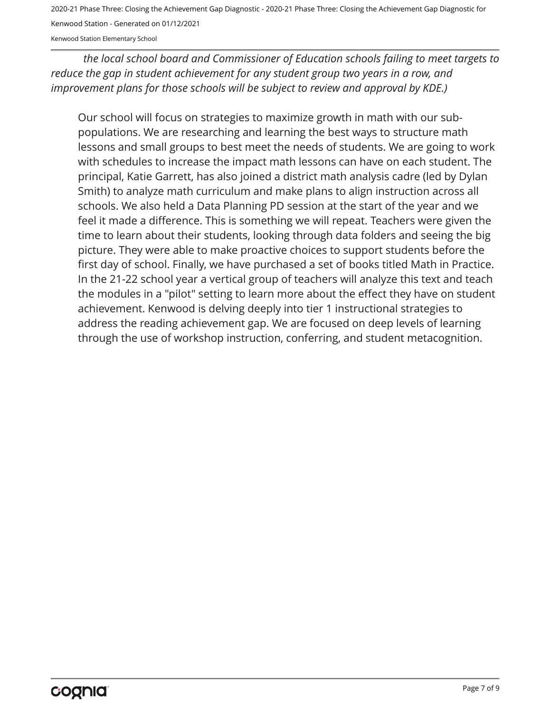2020-21 Phase Three: Closing the Achievement Gap Diagnostic - 2020-21 Phase Three: Closing the Achievement Gap Diagnostic for

Kenwood Station - Generated on 01/12/2021

Kenwood Station Elementary School

*the local school board and Commissioner of Education schools failing to meet targets to reduce the gap in student achievement for any student group two years in a row, and improvement plans for those schools will be subject to review and approval by KDE.)* 

Our school will focus on strategies to maximize growth in math with our subpopulations. We are researching and learning the best ways to structure math lessons and small groups to best meet the needs of students. We are going to work with schedules to increase the impact math lessons can have on each student. The principal, Katie Garrett, has also joined a district math analysis cadre (led by Dylan Smith) to analyze math curriculum and make plans to align instruction across all schools. We also held a Data Planning PD session at the start of the year and we feel it made a difference. This is something we will repeat. Teachers were given the time to learn about their students, looking through data folders and seeing the big picture. They were able to make proactive choices to support students before the first day of school. Finally, we have purchased a set of books titled Math in Practice. In the 21-22 school year a vertical group of teachers will analyze this text and teach the modules in a "pilot" setting to learn more about the effect they have on student achievement. Kenwood is delving deeply into tier 1 instructional strategies to address the reading achievement gap. We are focused on deep levels of learning through the use of workshop instruction, conferring, and student metacognition.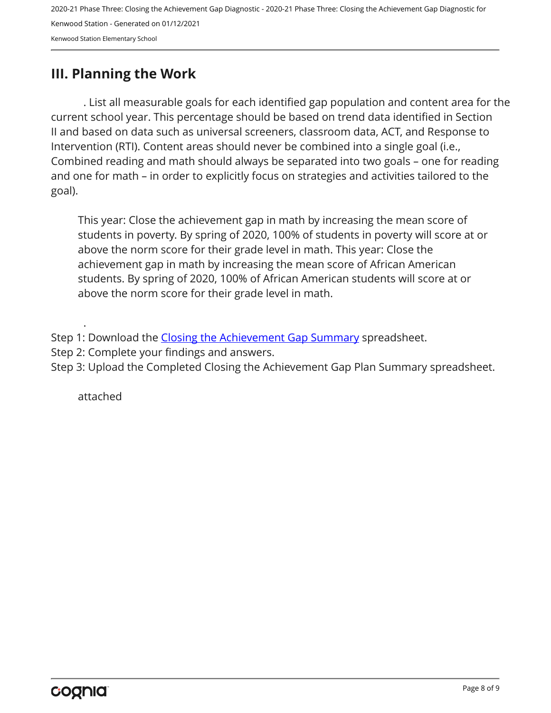## <span id="page-7-0"></span>**III. Planning the Work**

. List all measurable goals for each identified gap population and content area for the current school year. This percentage should be based on trend data identified in Section II and based on data such as universal screeners, classroom data, ACT, and Response to Intervention (RTI). Content areas should never be combined into a single goal (i.e., Combined reading and math should always be separated into two goals – one for reading and one for math – in order to explicitly focus on strategies and activities tailored to the goal).

This year: Close the achievement gap in math by increasing the mean score of students in poverty. By spring of 2020, 100% of students in poverty will score at or above the norm score for their grade level in math. This year: Close the achievement gap in math by increasing the mean score of African American students. By spring of 2020, 100% of African American students will score at or above the norm score for their grade level in math.

Step 1: Download the [Closing the Achievement Gap Summary](https://drive.google.com/file/d/0B6i22i6omk4ySmUtTHZuSVRFazQ/view) spreadsheet.

Step 2: Complete your findings and answers.

Step 3: Upload the Completed Closing the Achievement Gap Plan Summary spreadsheet.

attached

.